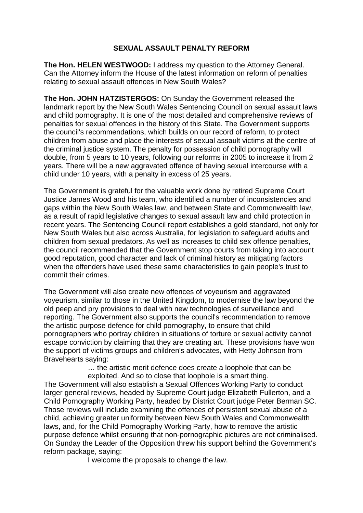## **SEXUAL ASSAULT PENALTY REFORM**

**The Hon. HELEN WESTWOOD:** I address my question to the Attorney General. Can the Attorney inform the House of the latest information on reform of penalties relating to sexual assault offences in New South Wales?

**The Hon. JOHN HATZISTERGOS:** On Sunday the Government released the landmark report by the New South Wales Sentencing Council on sexual assault laws and child pornography. It is one of the most detailed and comprehensive reviews of penalties for sexual offences in the history of this State. The Government supports the council's recommendations, which builds on our record of reform, to protect children from abuse and place the interests of sexual assault victims at the centre of the criminal justice system. The penalty for possession of child pornography will double, from 5 years to 10 years, following our reforms in 2005 to increase it from 2 years. There will be a new aggravated offence of having sexual intercourse with a child under 10 years, with a penalty in excess of 25 years.

The Government is grateful for the valuable work done by retired Supreme Court Justice James Wood and his team, who identified a number of inconsistencies and gaps within the New South Wales law, and between State and Commonwealth law, as a result of rapid legislative changes to sexual assault law and child protection in recent years. The Sentencing Council report establishes a gold standard, not only for New South Wales but also across Australia, for legislation to safeguard adults and children from sexual predators. As well as increases to child sex offence penalties, the council recommended that the Government stop courts from taking into account good reputation, good character and lack of criminal history as mitigating factors when the offenders have used these same characteristics to gain people's trust to commit their crimes.

The Government will also create new offences of voyeurism and aggravated voyeurism, similar to those in the United Kingdom, to modernise the law beyond the old peep and pry provisions to deal with new technologies of surveillance and reporting. The Government also supports the council's recommendation to remove the artistic purpose defence for child pornography, to ensure that child pornographers who portray children in situations of torture or sexual activity cannot escape conviction by claiming that they are creating art. These provisions have won the support of victims groups and children's advocates, with Hetty Johnson from Bravehearts saying:

> … the artistic merit defence does create a loophole that can be exploited. And so to close that loophole is a smart thing.

The Government will also establish a Sexual Offences Working Party to conduct larger general reviews, headed by Supreme Court judge Elizabeth Fullerton, and a Child Pornography Working Party, headed by District Court judge Peter Berman SC. Those reviews will include examining the offences of persistent sexual abuse of a child, achieving greater uniformity between New South Wales and Commonwealth laws, and, for the Child Pornography Working Party, how to remove the artistic purpose defence whilst ensuring that non-pornographic pictures are not criminalised. On Sunday the Leader of the Opposition threw his support behind the Government's reform package, saying:

I welcome the proposals to change the law.